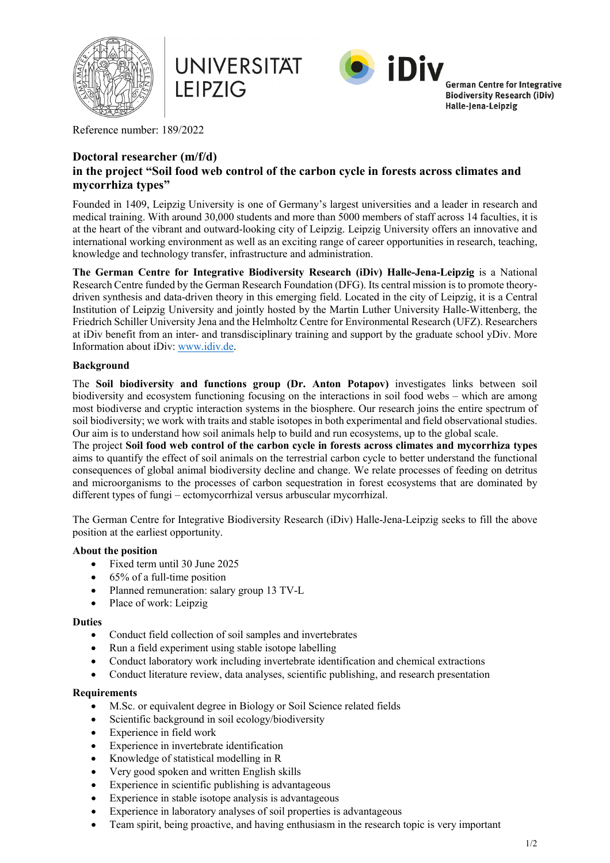





**German Centre for Integrative Biodiversity Research (iDiv)** Halle-Jena-Leipzig

Reference number: 189/2022

# **Doctoral researcher (m/f/d) in the project "Soil food web control of the carbon cycle in forests across climates and mycorrhiza types"**

Founded in 1409, Leipzig University is one of Germany's largest universities and a leader in research and medical training. With around 30,000 students and more than 5000 members of staff across 14 faculties, it is at the heart of the vibrant and outward-looking city of Leipzig. Leipzig University offers an innovative and international working environment as well as an exciting range of career opportunities in research, teaching, knowledge and technology transfer, infrastructure and administration.

**The German Centre for Integrative Biodiversity Research (iDiv) Halle-Jena-Leipzig** is a National Research Centre funded by the German Research Foundation (DFG). Its central mission is to promote theorydriven synthesis and data-driven theory in this emerging field. Located in the city of Leipzig, it is a Central Institution of Leipzig University and jointly hosted by the Martin Luther University Halle-Wittenberg, the Friedrich Schiller University Jena and the Helmholtz Centre for Environmental Research (UFZ). Researchers at iDiv benefit from an inter- and transdisciplinary training and support by the graduate school yDiv. More Information about iDiv: [www.idiv.de.](http://www.idiv.de/)

## **Background**

The **Soil biodiversity and functions group (Dr. Anton Potapov)** investigates links between soil biodiversity and ecosystem functioning focusing on the interactions in soil food webs – which are among most biodiverse and cryptic interaction systems in the biosphere. Our research joins the entire spectrum of soil biodiversity; we work with traits and stable isotopes in both experimental and field observational studies. Our aim is to understand how soil animals help to build and run ecosystems, up to the global scale.

The project **Soil food web control of the carbon cycle in forests across climates and mycorrhiza types** aims to quantify the effect of soil animals on the terrestrial carbon cycle to better understand the functional consequences of global animal biodiversity decline and change. We relate processes of feeding on detritus and microorganisms to the processes of carbon sequestration in forest ecosystems that are dominated by different types of fungi – ectomycorrhizal versus arbuscular mycorrhizal.

The German Centre for Integrative Biodiversity Research (iDiv) Halle-Jena-Leipzig seeks to fill the above position at the earliest opportunity.

### **About the position**

- Fixed term until 30 June 2025
- 65% of a full-time position
- Planned remuneration: salary group 13 TV-L
- Place of work: Leipzig

### **Duties**

- Conduct field collection of soil samples and invertebrates
- Run a field experiment using stable isotope labelling
- Conduct laboratory work including invertebrate identification and chemical extractions
- Conduct literature review, data analyses, scientific publishing, and research presentation

### **Requirements**

- M.Sc. or equivalent degree in Biology or Soil Science related fields
- Scientific background in soil ecology/biodiversity
- Experience in field work
- Experience in invertebrate identification
- Knowledge of statistical modelling in R
- Very good spoken and written English skills
- Experience in scientific publishing is advantageous
- Experience in stable isotope analysis is advantageous
- Experience in laboratory analyses of soil properties is advantageous
- Team spirit, being proactive, and having enthusiasm in the research topic is very important